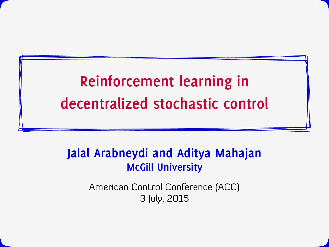# **Reinforcement learning in decentralized stochastic control**

#### **Jalal Arabneydi and Aditya Mahajan McGill University**

American Control Conference (ACC) 3 July, 2015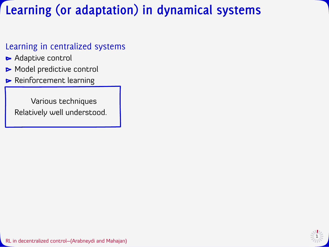# **Learning (or adaptation) in dynamical systems**

#### Learning in centralized systems

- Adaptive control
- Model predictive control
- **Reinforcement learning**

Various techniques Relatively well understood.

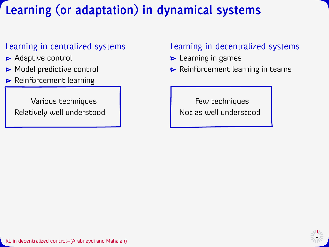# **Learning (or adaptation) in dynamical systems**

#### Learning in centralized systems

- Adaptive control
- Model predictive control
- **B** Reinforcement learning

Various techniques Relatively well understood.

#### Learning in decentralized systems

- $\blacktriangleright$  Learning in games
- Reinforcement learning in teams

Few techniques Not as well understood

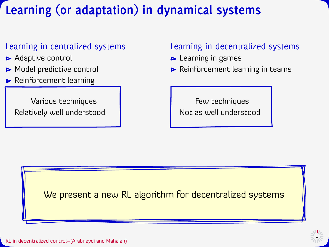# **Learning (or adaptation) in dynamical systems**

#### Learning in centralized systems

- Adaptive control
- Model predictive control
- **Reinforcement learning**

Various techniques Relatively well understood.

#### Learning in decentralized systems

- **Learning in games**
- Reinforcement learning in teams

Few techniques Not as well understood

We present a new RL algorithm for decentralized systems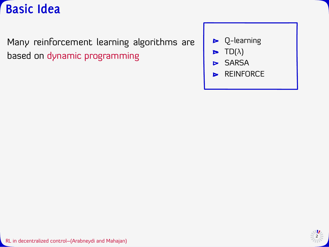

Many reinforcement learning algorithms are based on dynamic programming



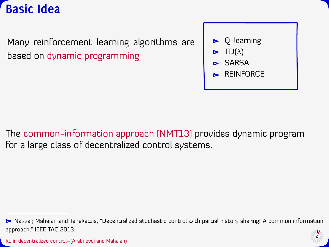

Many reinforcement learning algorithms are based on dynamic programming



The common-information approach [NMT13] provides dynamic program for a large class of decentralized control systems.

<sup>►</sup> Nayyar, Mahajan and Teneketzis, "Decentralized stochastic control with partial history sharing: A common information approach," IEEE TAC 2013.

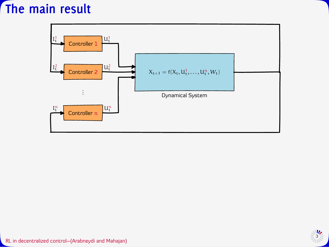## **The main result**



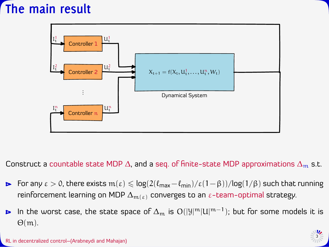# **The main result**



Construct a countable state MDP  $\Delta$ , and a seq. of finite-state MDP approximations  $\Delta_{\rm m}$  s.t.

- For any  $\varepsilon > 0$ , there exists  $m(\varepsilon) \leq \log(2(\ell_{max}-\ell_{min})/\varepsilon(1-\beta))/\log(1/\beta)$  such that running reinforcement learning on MDP  $\Delta_{m(\varepsilon)}$  converges to an  $\varepsilon$ -team-optimal strategy.
- In the worst case, the state space of  $\Delta_m$  is  $O(|\mathcal{Y}|^m|U|^{m-1})$ ; but for some models it is  $\blacktriangleright$  $\Theta(m)$ .

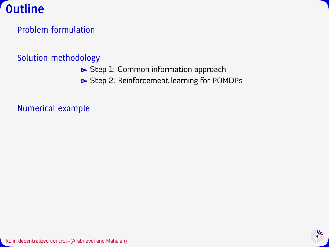

#### Solution methodology

- Step 1: Common information approach
- Step 2: Reinforcement learning for POMDPs

Numerical example

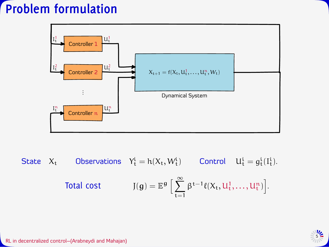

State  $X_t$  Observations  $Y_t^i = h(X_t, W_t^i)$  Control  $U_t^i = g_t^i(I_t^i)$ . Total cost  $J(g) = E<sup>g</sup>$  $\lfloor$ ∞  $\sum$  $t=1$  $\beta^{t-1}\ell(X_t, U_t^1, \ldots, U_t^n)$ .

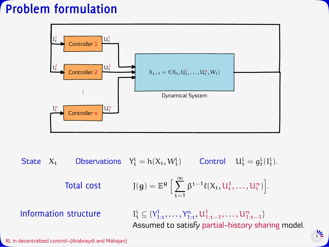

State  $X_t$  Observations  $Y_t^i = h(X_t, W_t^i)$  Control  $U_t^i = g_t^i(I_t^i)$ . Total cost  $J(g) = E<sup>g</sup>$  $\lfloor$ ∞  $\sum$  $t=1$  $\beta^{t-1}\ell(X_t, U_t^1, \ldots, U_t^n)$ . Information structure  $\mathbf{t} \subseteq \{Y_{1:t}^1, \ldots, Y_{1:t}^n, \mathbf{U}_{1:t-1}^1, \ldots, \mathbf{U}_{1:t-1}^n\}$ Assumed to satisfy partial-history sharing model.

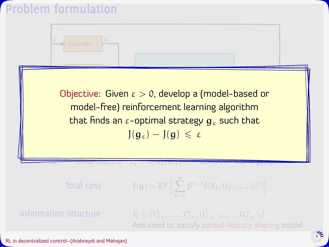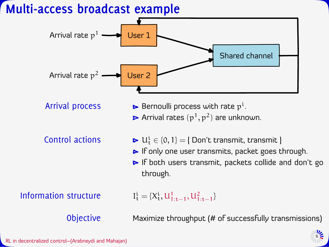#### **Multi-access broadcast example**

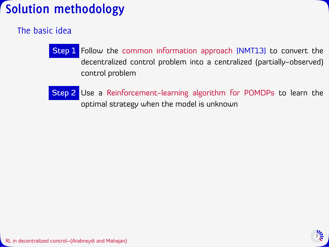# **Solution methodology**

#### The basic idea

- Step 1 Follow the common information approach [NMT13] to convert the decentralized control problem into a centralized (partially-observed) control problem
- Step 2 Use a Reinforcement-learning algorithm for POMDPs to learn the optimal strategy when the model is unknown

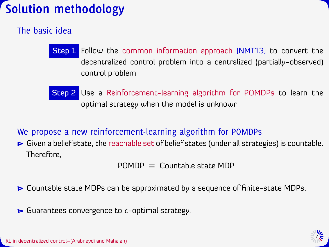# **Solution methodology**

#### The basic idea

- Step 1 Follow the common information approach [NMT13] to convert the decentralized control problem into a centralized (partially-observed) control problem
- Step 2 Use a Reinforcement-learning algorithm for POMDPs to learn the optimal strategy when the model is unknown

#### We propose a new reinforcement-learning algorithm for POMDPs

Given a belief state, the reachable set of belief states (under all strategies) is countable. Therefore,

 $POMDP =$  Countable state MDP

- ► Countable state MDPs can be approximated by a sequence of finite-state MDPs.
- $\blacktriangleright$  Guarantees convergence to  $\varepsilon$ -optimal strategy.

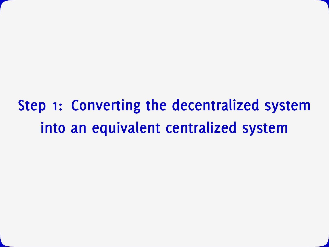# **Step 1: Converting the decentralized system into an equivalent centralized system**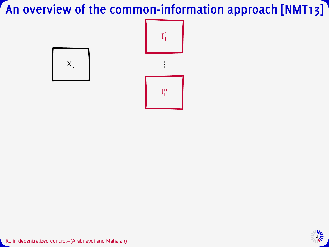

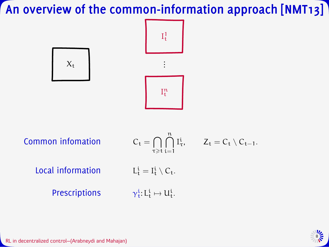



Common infomation τ≥t n  $\begin{matrix} | & | \\ i = 1 \end{matrix}$  $I_{\tau}^{i}$ ,  $Z_{t} = C_{t} \setminus C_{t-1}$ . Local information  $\mathbf{t}^{\mathfrak{i}} = \mathbf{I}^{\mathfrak{i}}_{\mathfrak{t}} \setminus \mathsf{C}_{\mathfrak{t}}.$ Prescriptions  $\frac{i}{t}$ : L<sub>t</sub><sup>i</sup>  $\mapsto$  U<sub>t</sub><sup>i</sup>.

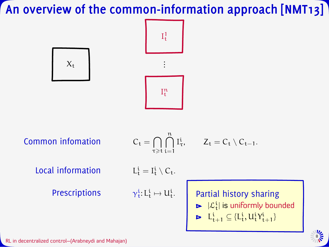



Common information 
$$
C_t = \bigcap
$$

$$
C_t = \bigcap_{\tau \geqslant t} \bigcap_{i=1}^n I_{\tau}^i, \qquad Z_t = C_t \setminus C_{t-1}.
$$

Local information

Prescriptions

$$
L^i_t = I^i_t \setminus C_t.
$$

$$
\gamma^i_t\hbox{:}\, L^i_t\mapsto U^i_t.
$$

. Partial history sharing

$$
\blacktriangleright |\mathcal{L}_{t}^{i}| \text{ is uniformly bounded}
$$

$$
\textbf{P} \quad L^i_{t+1} \subseteq \{L^i_t, U^i_t \Upsilon^i_{t+1}\}
$$



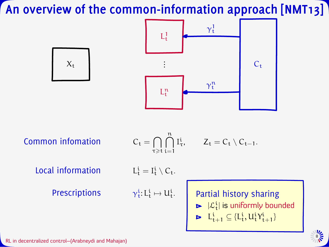



Common infomation

$$
C_t = \bigcap_{\tau \geqslant t} \bigcap_{i=1}^n I_\tau^i, \qquad Z_t = C_t \setminus C_{t-1}.
$$

Local information

Prescriptions

$$
L^i_t = I^i_t \setminus C_t.
$$

$$
\gamma^i_t\hbox{:}\, L^i_t\mapsto U^i_t.
$$

. Partial history sharing

$$
\blacktriangleright |\mathcal{L}_{t}^{i}| \text{ is uniformly bounded}
$$

$$
\textbf{P} \quad L^i_{t+1} \subseteq \{L^i_t, U^i_t \Upsilon^i_{t+1}\}
$$



8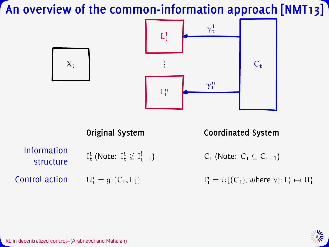





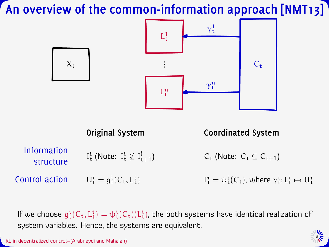

If we choose  $g^i_t(C_t,L^i_t)=\psi^i_t(C_t)(L^i_t)$ , the both systems have identical realization of system variables. Hence, the systems are equivalent.

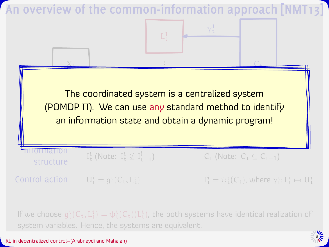

If we choose  $g^i_t(C_t,L^i_t)=\psi^i_t(C_t)(L^i_t)$ , the both systems have identical realization of system variables. Hence, the systems are equivalent.

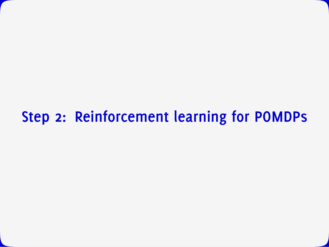# **Step 2: Reinforcement learning for POMDPs**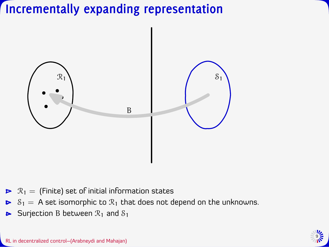

- $\triangleright$   $\mathcal{R}_1$  = (Finite) set of initial information states
- $\triangleright$   $S_1 = A$  set isomorphic to  $\mathcal{R}_1$  that does not depend on the unknowns.
- Surjection B between  $\mathcal{R}_1$  and  $\mathcal{S}_1$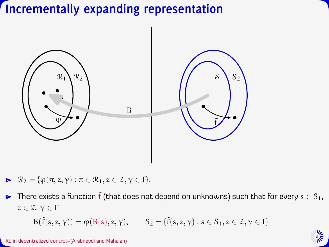

 $\blacktriangleright \mathcal{R}_2 = {\varphi(\pi, z, \gamma) : \pi \in \mathcal{R}_1, z \in \mathcal{Z}, \gamma \in \Gamma}.$ 

There exists a function  $\tilde{f}$  (that does not depend on unknowns) such that for every  $s \in \mathcal{S}_1$ ,  $\blacktriangleright$  $z \in \mathcal{Z}, \gamma \in \Gamma$ 

 $B(\tilde{f}(s, z, \gamma)) = \varphi(B(s), z, \gamma), \qquad \mathcal{S}_2 = {\tilde{f}(s, z, \gamma) : s \in \mathcal{S}_1, z \in \mathcal{Z}, \gamma \in \Gamma}$ 

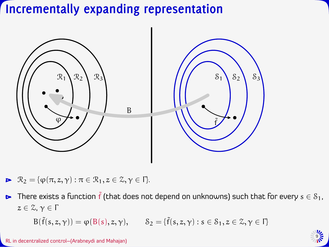

 $\blacktriangleright \mathcal{R}_2 = {\varphi(\pi, z, \gamma) : \pi \in \mathcal{R}_1, z \in \mathcal{Z}, \gamma \in \Gamma}.$ 

**►** There exists a function  $\tilde{f}$  (that does not depend on unknowns) such that for every  $s \in S_1$ ,  $z \in \mathcal{Z}, \gamma \in \Gamma$ 

 $B(\tilde{f}(s, z, \gamma)) = \varphi(B(s), z, \gamma), \qquad \mathcal{S}_2 = {\tilde{f}(s, z, \gamma) : s \in \mathcal{S}_1, z \in \mathcal{Z}, \gamma \in \Gamma}$ 

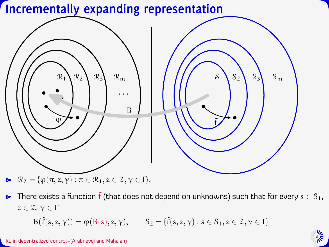

► There exists a function  $\tilde{f}$  (that does not depend on unknowns) such that for every  $s \in S_1$ ,  $z \in \mathcal{Z}, \gamma \in \Gamma$ 

 $B(\tilde{f}(s, z, \gamma)) = \varphi(B(s), z, \gamma), \qquad \mathcal{S}_2 = {\tilde{f}(s, z, \gamma) : s \in \mathcal{S}_1, z \in \mathcal{Z}, \gamma \in \Gamma}$ 

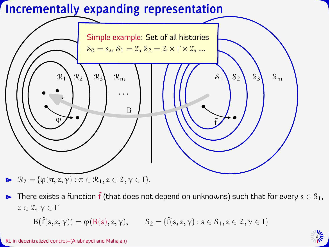

**►** There exists a function  $\tilde{f}$  (that does not depend on unknowns) such that for every  $s \in S_1$ ,  $z \in \mathcal{Z}, \gamma \in \Gamma$ 

 $B(\tilde{f}(s, z, \gamma)) = \varphi(B(s), z, \gamma), \qquad \mathcal{S}_2 = {\tilde{f}(s, z, \gamma) : s \in \mathcal{S}_1, z \in \mathcal{Z}, \gamma \in \Gamma}$ 

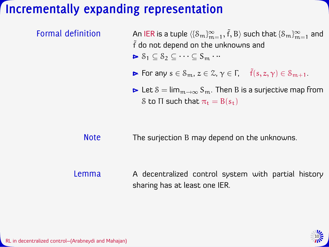- Formal definition  $\sf A$ n IER is a tuple  $\langle\{S_m\}_{m=1}^\infty, \tilde f, B\rangle$  such that  $\{S_m\}_{m=1}^\infty$  and  $\tilde{f}$  do not depend on the unknowns and  $\triangleright$   $S_1 \subset S_2 \subset \cdots \subset S_m \cdots$ 
	- For any  $s \in \mathcal{S}_m$ ,  $z \in \mathcal{Z}, \gamma \in \Gamma$ ,  $\tilde{f}(s, z, \gamma) \in \mathcal{S}_{m+1}$ .
	- ► Let  $S = \lim_{m \to \infty} S_m$ . Then B is a surjective map from S to  $\Pi$  such that  $\pi_t = B(s_t)$

Note The surjection B may depend on the unknowns.

Lemma A decentralized control system with partial history sharing has at least one IER.

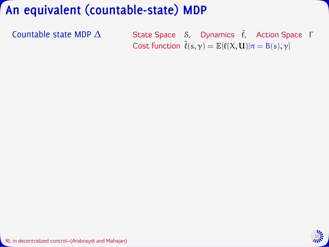Countable state MDP  $\Delta$  State Space  $\delta$ , Dynamics  $\tilde{f}$ , Action Space Γ Cost function  $\tilde{\ell}(s,\gamma) = \mathbb{E}[\ell(X,\mathbf{U})|\pi = B(s),\gamma]$ 

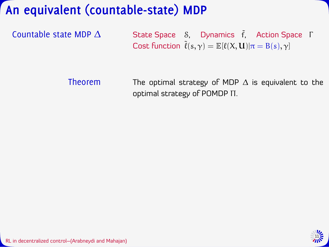Countable state MDP  $\Delta$  State Space  $\delta$ , Dynamics  $\tilde{f}$ , Action Space Γ Cost function  $\tilde{\ell}(s, \gamma) = \mathbb{E}[\ell(X, \mathbf{U}) | \pi = B(s), \gamma]$ 

Theorem The optimal strategy of MDP  $\Delta$  is equivalent to the optimal strategy of POMDP Π.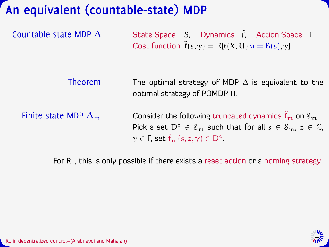Countable state MDP  $\Delta$  State Space  $\delta$ , Dynamics  $\tilde{f}$ , Action Space Γ Cost function  $\tilde{\ell}(s, \gamma) = \mathbb{E}[\ell(X, \mathbf{U}) | \pi = B(s), \gamma]$ 

Theorem The optimal strategy of MDP  $\Delta$  is equivalent to the optimal strategy of POMDP Π.

Finite state MDP  $\Delta_{\rm m}$  Consider the following truncated dynamics  $\tilde{f}_{\rm m}$  on  $\delta_{\rm m}$ . Pick a set  $D^{\circ} \in S_m$  such that for all  $s \in S_m$ ,  $z \in \mathcal{Z}$ ,  $\gamma \in \Gamma$ , set  $\tilde{f}_m(s,z,\gamma) \in D^\circ$ .

For RL, this is only possible if there exists a reset action or a homing strategy.

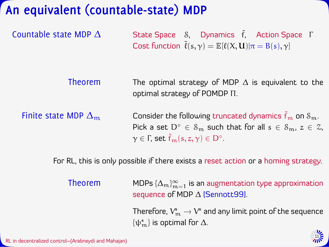Countable state MDP  $\Delta$  State Space  $\delta$ , Dynamics  $\tilde{f}$ , Action Space Γ Cost function  $\tilde{\ell}(s, \gamma) = \mathbb{E}[\ell(X, \mathbf{U}) | \pi = B(s), \gamma]$ 

Theorem The optimal strategy of MDP  $\Delta$  is equivalent to the optimal strategy of POMDP Π.

Finite state MDP  $\Delta_{\rm m}$  Consider the following truncated dynamics  $\tilde{f}_{\rm m}$  on  $\delta_{\rm m}$ . Pick a set  $D^{\circ} \in S_m$  such that for all  $s \in S_m$ ,  $z \in \mathcal{Z}$ ,  $\gamma \in \Gamma$ , set  $\tilde{f}_m(s,z,\gamma) \in D^\circ$ .

For RL, this is only possible if there exists a reset action or a homing strategy.

Theorem  $\mathsf{MDPs}\left\{ \Delta_{\mathfrak{m}} \right\}_{\mathfrak{m}=1}^\infty$  is an augmentation type approximation sequence of MDP  $\Delta$  [Sennott99].

> Therefore,  $\rm V_{\rm m}^* \rightarrow V^*$  and any limit point of the sequence  $\{\psi_m^*\}$  is optimal for  $\Delta$ .

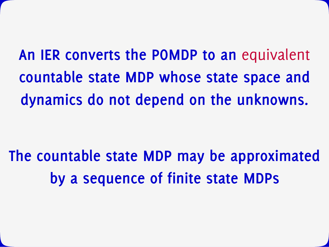**An IER converts the POMDP to an** equivalent **countable state MDP whose state space and dynamics do not depend on the unknowns.**

**The countable state MDP may be approximated by a sequence of finite state MDPs**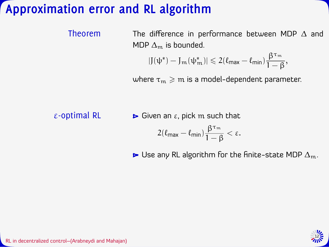## **Approximation error and RL algorithm**

| Theorem | The difference in performance between MDP $\Delta$ and                                                        |
|---------|---------------------------------------------------------------------------------------------------------------|
|         | MDP $\Delta_{\rm m}$ is bounded.                                                                              |
|         | $ J(\psi^*) - J_m(\psi^*_m)  \leq 2(\ell_{\text{max}} - \ell_{\text{min}}) \frac{\beta^{\tau_m}}{1 - \beta},$ |

where  $\tau_m \geq m$  is a model-dependent parameter.

ε-optimal RL  $\longrightarrow$  Given an ε, pick m such that

$$
2(\ell_{\text{max}}-\ell_{\text{min}})\frac{\beta^{\tau_{\text{m}}}}{1-\beta}<\epsilon.
$$

 $\blacktriangleright$  Use any RL algorithm for the finite-state MDP  $\Delta_{\rm m}$ .

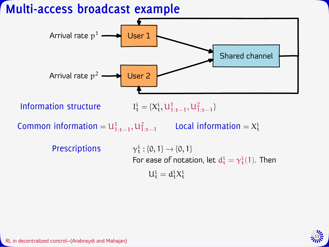### **Multi-access broadcast example**



 $U_t^i = d_t^i X_t^i$ 

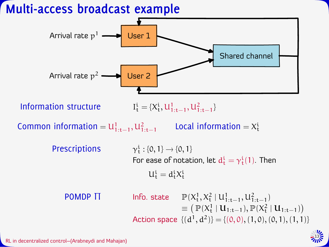### **Multi-access broadcast example**



13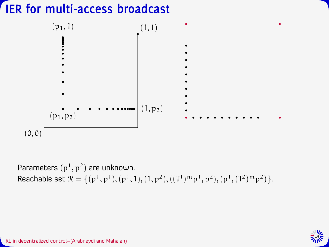## **IER for multi-access broadcast**



Parameters  $(p^1, p^2)$  are unknown. Reachable set  $\mathcal{R} = \left\{ (p^1, p^1), (p^1, 1), (1, p^2), ((T^1)^m p^1, p^2), (p^1, (T^2)^m p^2) \right\}$ .

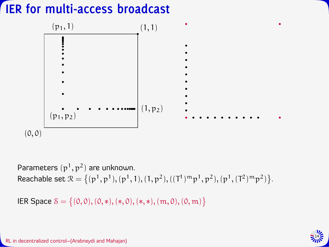## **IER for multi-access broadcast**



Parameters  $(p^1, p^2)$  are unknown. Reachable set  $\mathcal{R} = \left\{ (p^1, p^1), (p^1, 1), (1, p^2), ((T^1)^m p^1, p^2), (p^1, (T^2)^m p^2) \right\}$ .

IER Space  $S = \{(0, 0), (0, *), (*, 0), (*, *)$ ,  $(m, 0), (0, m)\}$ 

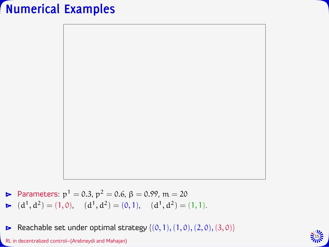## **Numerical Examples**



Parameters:  $p^1 = 0.3$ ,  $p^2 = 0.6$ ,  $\beta = 0.99$ ,  $m = 20$  $(d<sup>1</sup>, d<sup>2</sup>) = (1, 0), (d<sup>1</sup>, d<sup>2</sup>) = (0, 1), (d<sup>1</sup>, d<sup>2</sup>) = (1, 1).$ 

Reachable set under optimal strategy  $\{(0, 1), (1, 0), (2, 0), (3, 0)\}$  $\triangleright$ RL in decentralized control–(Arabneydi and Mahajan)

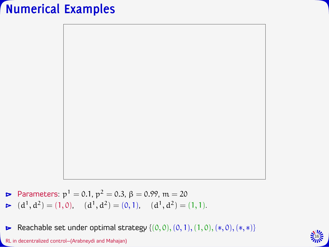## **Numerical Examples**



Parameters:  $p^1 = 0.1$ ,  $p^2 = 0.3$ ,  $\beta = 0.99$ ,  $m = 20$  $(d<sup>1</sup>, d<sup>2</sup>) = (1, 0), (d<sup>1</sup>, d<sup>2</sup>) = (0, 1), (d<sup>1</sup>, d<sup>2</sup>) = (1, 1).$ 

Reachable set under optimal strategy  $\{(0, 0), (0, 1), (1, 0), (*, 0), (*, *)\}$  $\blacktriangleright$ RL in decentralized control–(Arabneydi and Mahajan)